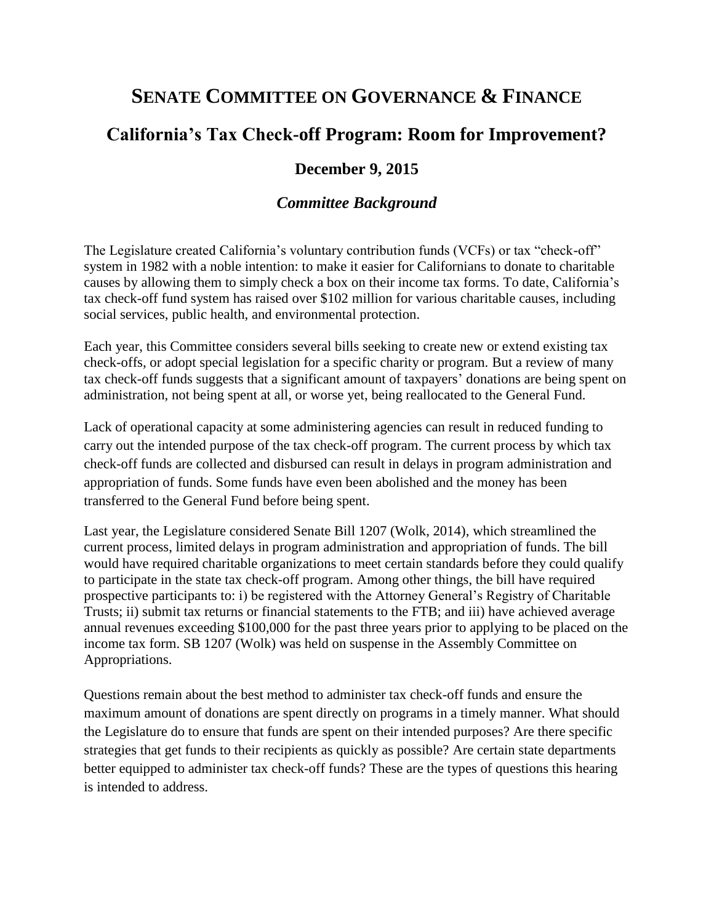# **SENATE COMMITTEE ON GOVERNANCE & FINANCE**

# **California's Tax Check-off Program: Room for Improvement?**

### **December 9, 2015**

### *Committee Background*

The Legislature created California's voluntary contribution funds (VCFs) or tax "check-off" system in 1982 with a noble intention: to make it easier for Californians to donate to charitable causes by allowing them to simply check a box on their income tax forms. To date, California's tax check-off fund system has raised over \$102 million for various charitable causes, including social services, public health, and environmental protection.

Each year, this Committee considers several bills seeking to create new or extend existing tax check-offs, or adopt special legislation for a specific charity or program. But a review of many tax check-off funds suggests that a significant amount of taxpayers' donations are being spent on administration, not being spent at all, or worse yet, being reallocated to the General Fund.

Lack of operational capacity at some administering agencies can result in reduced funding to carry out the intended purpose of the tax check-off program. The current process by which tax check-off funds are collected and disbursed can result in delays in program administration and appropriation of funds. Some funds have even been abolished and the money has been transferred to the General Fund before being spent.

Last year, the Legislature considered Senate Bill 1207 (Wolk, 2014), which streamlined the current process, limited delays in program administration and appropriation of funds. The bill would have required charitable organizations to meet certain standards before they could qualify to participate in the state tax check-off program. Among other things, the bill have required prospective participants to: i) be registered with the Attorney General's Registry of Charitable Trusts; ii) submit tax returns or financial statements to the FTB; and iii) have achieved average annual revenues exceeding \$100,000 for the past three years prior to applying to be placed on the income tax form. SB 1207 (Wolk) was held on suspense in the Assembly Committee on Appropriations.

Questions remain about the best method to administer tax check-off funds and ensure the maximum amount of donations are spent directly on programs in a timely manner. What should the Legislature do to ensure that funds are spent on their intended purposes? Are there specific strategies that get funds to their recipients as quickly as possible? Are certain state departments better equipped to administer tax check-off funds? These are the types of questions this hearing is intended to address.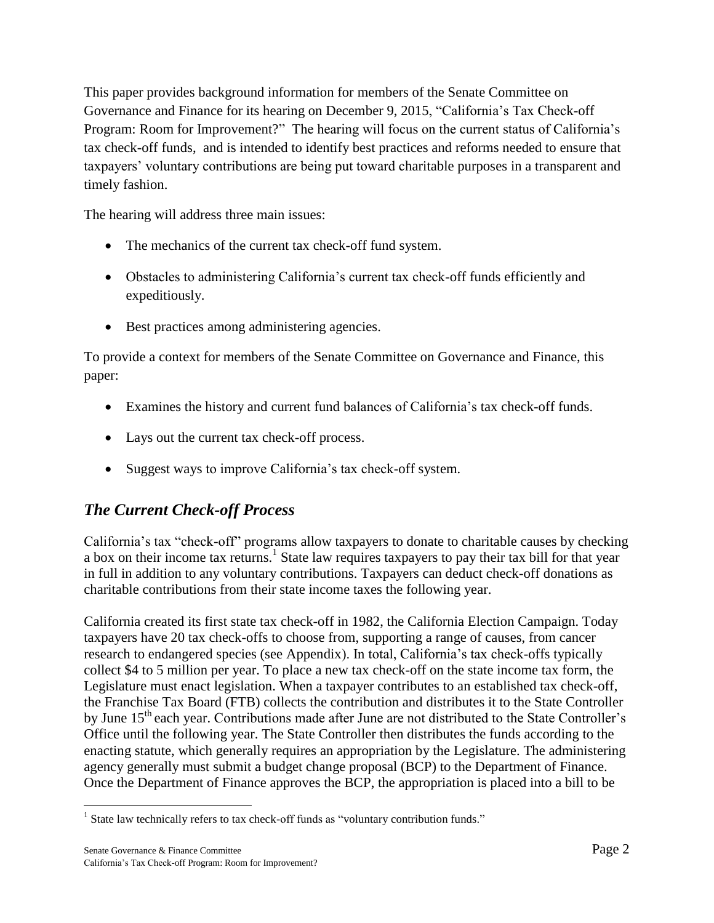This paper provides background information for members of the Senate Committee on Governance and Finance for its hearing on December 9, 2015, "California's Tax Check-off Program: Room for Improvement?" The hearing will focus on the current status of California's tax check-off funds, and is intended to identify best practices and reforms needed to ensure that taxpayers' voluntary contributions are being put toward charitable purposes in a transparent and timely fashion.

The hearing will address three main issues:

- The mechanics of the current tax check-off fund system.
- Obstacles to administering California's current tax check-off funds efficiently and expeditiously.
- Best practices among administering agencies.

To provide a context for members of the Senate Committee on Governance and Finance, this paper:

- Examines the history and current fund balances of California's tax check-off funds.
- Lays out the current tax check-off process.
- Suggest ways to improve California's tax check-off system.

## *The Current Check-off Process*

California's tax "check-off" programs allow taxpayers to donate to charitable causes by checking a box on their income tax returns.<sup>1</sup> State law requires taxpayers to pay their tax bill for that year in full in addition to any voluntary contributions. Taxpayers can deduct check-off donations as charitable contributions from their state income taxes the following year.

California created its first state tax check-off in 1982, the California Election Campaign. Today taxpayers have 20 tax check-offs to choose from, supporting a range of causes, from cancer research to endangered species (see Appendix). In total, California's tax check-offs typically collect \$4 to 5 million per year. To place a new tax check-off on the state income tax form, the Legislature must enact legislation. When a taxpayer contributes to an established tax check-off, the Franchise Tax Board (FTB) collects the contribution and distributes it to the State Controller by June 15<sup>th</sup> each year. Contributions made after June are not distributed to the State Controller's Office until the following year. The State Controller then distributes the funds according to the enacting statute, which generally requires an appropriation by the Legislature. The administering agency generally must submit a budget change proposal (BCP) to the Department of Finance. Once the Department of Finance approves the BCP, the appropriation is placed into a bill to be

 1 State law technically refers to tax check-off funds as "voluntary contribution funds."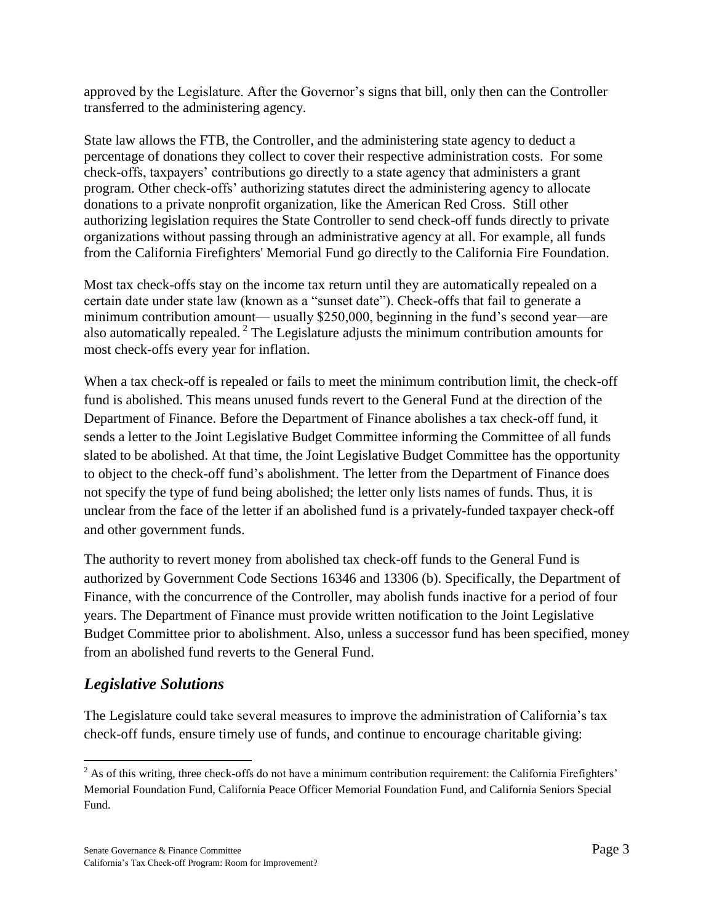approved by the Legislature. After the Governor's signs that bill, only then can the Controller transferred to the administering agency.

State law allows the FTB, the Controller, and the administering state agency to deduct a percentage of donations they collect to cover their respective administration costs. For some check-offs, taxpayers' contributions go directly to a state agency that administers a grant program. Other check-offs' authorizing statutes direct the administering agency to allocate donations to a private nonprofit organization, like the American Red Cross. Still other authorizing legislation requires the State Controller to send check-off funds directly to private organizations without passing through an administrative agency at all. For example, all funds from the California Firefighters' Memorial Fund go directly to the California Fire Foundation.

Most tax check-offs stay on the income tax return until they are automatically repealed on a certain date under state law (known as a "sunset date"). Check-offs that fail to generate a minimum contribution amount— usually \$250,000, beginning in the fund's second year—are also automatically repealed.<sup>2</sup> The Legislature adjusts the minimum contribution amounts for most check-offs every year for inflation.

When a tax check-off is repealed or fails to meet the minimum contribution limit, the check-off fund is abolished. This means unused funds revert to the General Fund at the direction of the Department of Finance. Before the Department of Finance abolishes a tax check-off fund, it sends a letter to the Joint Legislative Budget Committee informing the Committee of all funds slated to be abolished. At that time, the Joint Legislative Budget Committee has the opportunity to object to the check-off fund's abolishment. The letter from the Department of Finance does not specify the type of fund being abolished; the letter only lists names of funds. Thus, it is unclear from the face of the letter if an abolished fund is a privately-funded taxpayer check-off and other government funds.

The authority to revert money from abolished tax check-off funds to the General Fund is authorized by Government Code Sections 16346 and 13306 (b). Specifically, the Department of Finance, with the concurrence of the Controller, may abolish funds inactive for a period of four years. The Department of Finance must provide written notification to the Joint Legislative Budget Committee prior to abolishment. Also, unless a successor fund has been specified, money from an abolished fund reverts to the General Fund.

## *Legislative Solutions*

The Legislature could take several measures to improve the administration of California's tax check-off funds, ensure timely use of funds, and continue to encourage charitable giving:

 $\overline{a}$  $2$  As of this writing, three check-offs do not have a minimum contribution requirement: the California Firefighters' Memorial Foundation Fund, California Peace Officer Memorial Foundation Fund, and California Seniors Special Fund.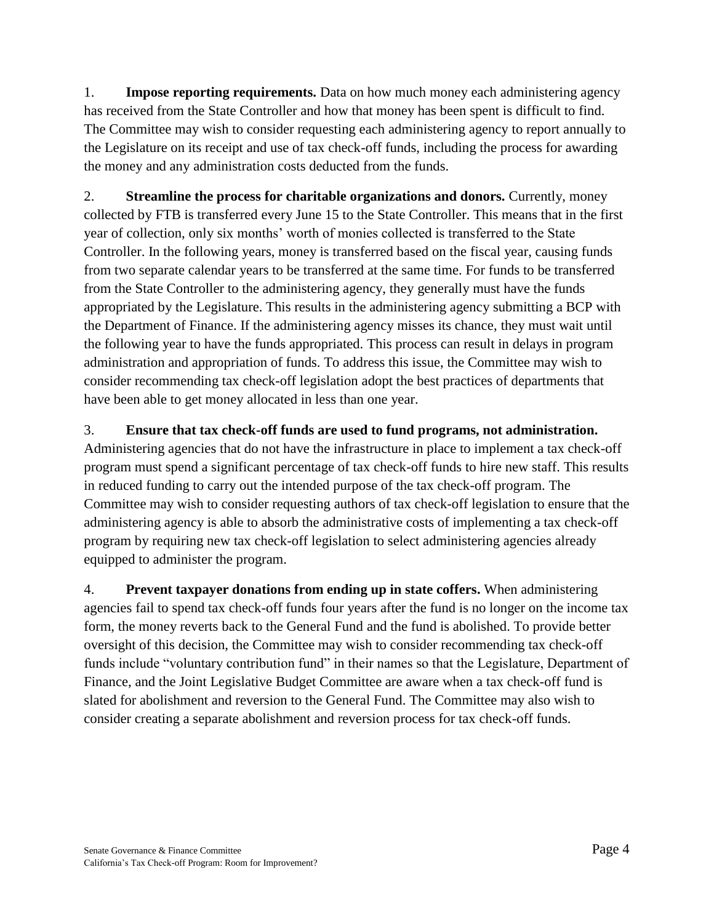1. **Impose reporting requirements.** Data on how much money each administering agency has received from the State Controller and how that money has been spent is difficult to find. The Committee may wish to consider requesting each administering agency to report annually to the Legislature on its receipt and use of tax check-off funds, including the process for awarding the money and any administration costs deducted from the funds.

2. **Streamline the process for charitable organizations and donors.** Currently, money collected by FTB is transferred every June 15 to the State Controller. This means that in the first year of collection, only six months' worth of monies collected is transferred to the State Controller. In the following years, money is transferred based on the fiscal year, causing funds from two separate calendar years to be transferred at the same time. For funds to be transferred from the State Controller to the administering agency, they generally must have the funds appropriated by the Legislature. This results in the administering agency submitting a BCP with the Department of Finance. If the administering agency misses its chance, they must wait until the following year to have the funds appropriated. This process can result in delays in program administration and appropriation of funds. To address this issue, the Committee may wish to consider recommending tax check-off legislation adopt the best practices of departments that have been able to get money allocated in less than one year.

#### 3. **Ensure that tax check-off funds are used to fund programs, not administration.**

Administering agencies that do not have the infrastructure in place to implement a tax check-off program must spend a significant percentage of tax check-off funds to hire new staff. This results in reduced funding to carry out the intended purpose of the tax check-off program. The Committee may wish to consider requesting authors of tax check-off legislation to ensure that the administering agency is able to absorb the administrative costs of implementing a tax check-off program by requiring new tax check-off legislation to select administering agencies already equipped to administer the program.

4. **Prevent taxpayer donations from ending up in state coffers.** When administering agencies fail to spend tax check-off funds four years after the fund is no longer on the income tax form, the money reverts back to the General Fund and the fund is abolished. To provide better oversight of this decision, the Committee may wish to consider recommending tax check-off funds include "voluntary contribution fund" in their names so that the Legislature, Department of Finance, and the Joint Legislative Budget Committee are aware when a tax check-off fund is slated for abolishment and reversion to the General Fund. The Committee may also wish to consider creating a separate abolishment and reversion process for tax check-off funds.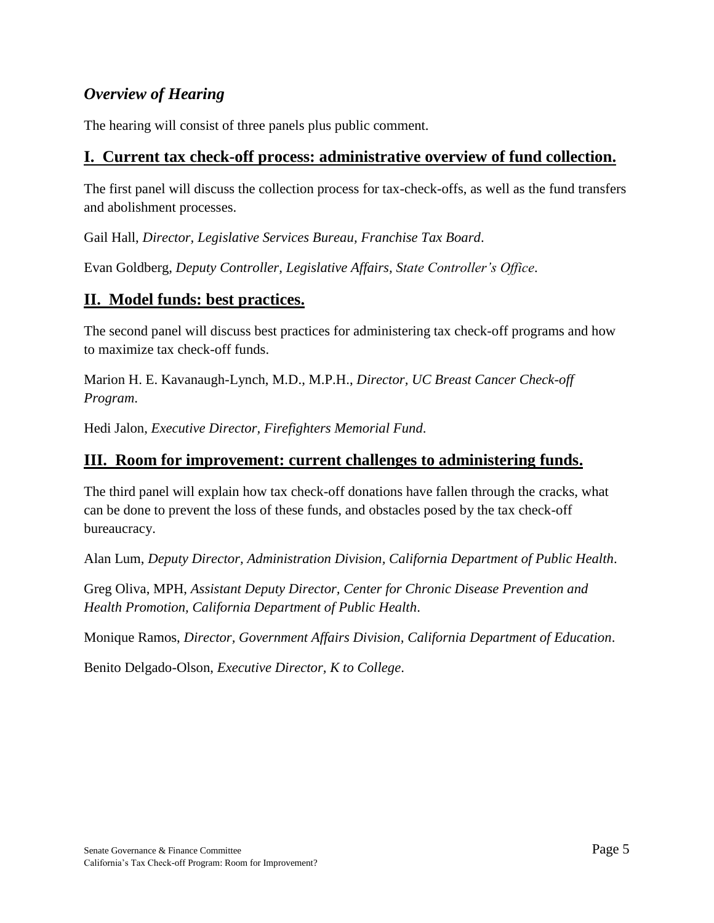## *Overview of Hearing*

The hearing will consist of three panels plus public comment.

### **I. Current tax check-off process: administrative overview of fund collection.**

The first panel will discuss the collection process for tax-check-offs, as well as the fund transfers and abolishment processes.

Gail Hall, *Director, Legislative Services Bureau, Franchise Tax Board*.

Evan Goldberg, *Deputy Controller, Legislative Affairs, State Controller's Office*.

## **II. Model funds: best practices.**

The second panel will discuss best practices for administering tax check-off programs and how to maximize tax check-off funds.

Marion H. E. Kavanaugh-Lynch, M.D., M.P.H., *Director, UC Breast Cancer Check-off Program*.

Hedi Jalon, *Executive Director, Firefighters Memorial Fund*.

### **III. Room for improvement: current challenges to administering funds.**

The third panel will explain how tax check-off donations have fallen through the cracks, what can be done to prevent the loss of these funds, and obstacles posed by the tax check-off bureaucracy.

Alan Lum, *Deputy Director, Administration Division, California Department of Public Health*.

Greg Oliva, MPH, *Assistant Deputy Director, Center for Chronic Disease Prevention and Health Promotion, California Department of Public Health*.

Monique Ramos, *Director, Government Affairs Division, California Department of Education*.

Benito Delgado-Olson, *Executive Director, K to College*.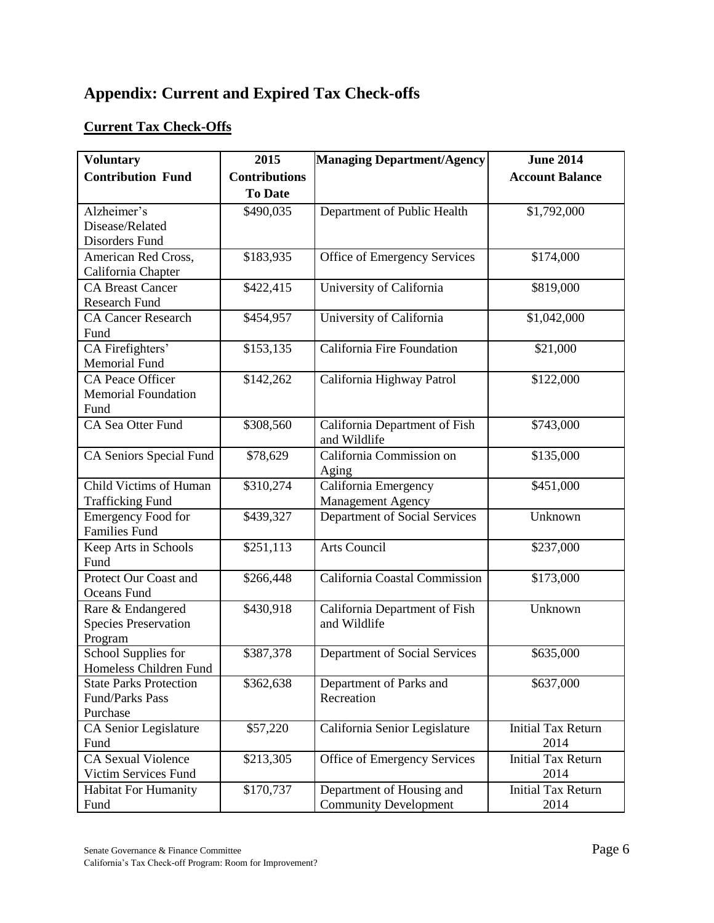# **Appendix: Current and Expired Tax Check-offs**

#### **Current Tax Check-Offs**

| <b>Voluntary</b>                                             | 2015                 | <b>Managing Department/Agency</b>                         | <b>June 2014</b>                  |
|--------------------------------------------------------------|----------------------|-----------------------------------------------------------|-----------------------------------|
| <b>Contribution Fund</b>                                     | <b>Contributions</b> |                                                           | <b>Account Balance</b>            |
|                                                              | <b>To Date</b>       |                                                           |                                   |
| Alzheimer's<br>Disease/Related<br>Disorders Fund             | \$490,035            | Department of Public Health                               | \$1,792,000                       |
| American Red Cross,<br>California Chapter                    | \$183,935            | Office of Emergency Services                              | \$174,000                         |
| <b>CA Breast Cancer</b><br><b>Research Fund</b>              | \$422,415            | University of California                                  | \$819,000                         |
| <b>CA Cancer Research</b><br>Fund                            | \$454,957            | University of California                                  | \$1,042,000                       |
| CA Firefighters'<br><b>Memorial Fund</b>                     | \$153,135            | California Fire Foundation                                | \$21,000                          |
| CA Peace Officer<br><b>Memorial Foundation</b><br>Fund       | \$142,262            | California Highway Patrol                                 | \$122,000                         |
| CA Sea Otter Fund                                            | \$308,560            | California Department of Fish<br>and Wildlife             | \$743,000                         |
| CA Seniors Special Fund                                      | \$78,629             | California Commission on<br>Aging                         | \$135,000                         |
| Child Victims of Human<br><b>Trafficking Fund</b>            | \$310,274            | California Emergency<br>Management Agency                 | \$451,000                         |
| <b>Emergency Food for</b><br><b>Families Fund</b>            | \$439,327            | Department of Social Services                             | Unknown                           |
| Keep Arts in Schools<br>Fund                                 | \$251,113            | Arts Council                                              | \$237,000                         |
| Protect Our Coast and<br>Oceans Fund                         | \$266,448            | California Coastal Commission                             | \$173,000                         |
| Rare & Endangered<br><b>Species Preservation</b><br>Program  | \$430,918            | California Department of Fish<br>and Wildlife             | Unknown                           |
| School Supplies for<br>Homeless Children Fund                | \$387,378            | Department of Social Services                             | \$635,000                         |
| <b>State Parks Protection</b><br>Fund/Parks Pass<br>Purchase | \$362,638            | Department of Parks and<br>Recreation                     | \$637,000                         |
| CA Senior Legislature<br>Fund                                | \$57,220             | California Senior Legislature                             | <b>Initial Tax Return</b><br>2014 |
| <b>CA Sexual Violence</b><br>Victim Services Fund            | \$213,305            | Office of Emergency Services                              | <b>Initial Tax Return</b><br>2014 |
| <b>Habitat For Humanity</b><br>Fund                          | \$170,737            | Department of Housing and<br><b>Community Development</b> | <b>Initial Tax Return</b><br>2014 |